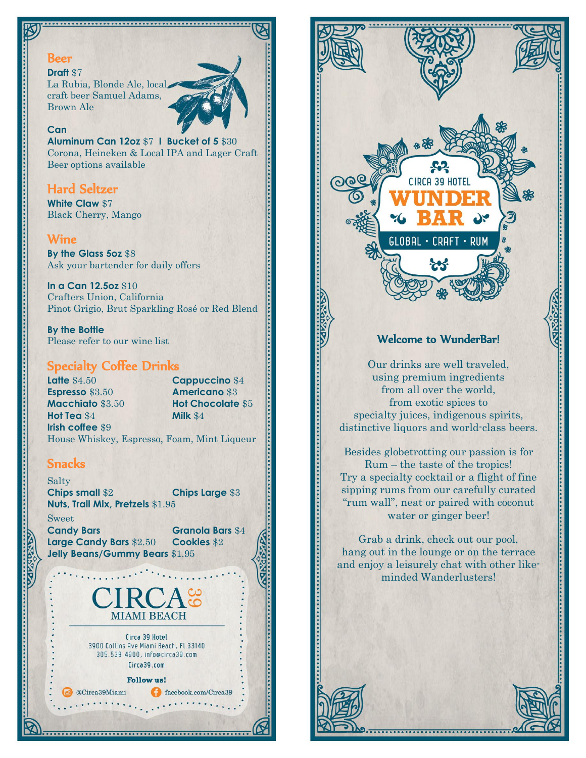### Beer

#### **Draft** \$7

La Rubia, Blonde Ale, local craft beer Samuel Adams, Brown Ale

### **Can**

**Aluminum Can 12oz** \$7 **I Bucket of 5** \$30 Corona, Heineken & Local IPA and Lager Craft Beer options available

## Hard Seltzer

**White Claw** \$7 Black Cherry, Mango

## Wine

**By the Glass 5oz** \$8 Ask your bartender for daily offers

**In a Can 12.5oz** \$10 Crafters Union, California Pinot Grigio, Brut Sparkling Rosé or Red Blend

**By the Bottle** Please refer to our wine list

## Specialty Coffee Drinks

**Latte \$4.50 <b>Cappuccino \$4 Espresso** \$3.50 **Americano** \$3 **Macchiato** \$3.50 **Hot Chocolate** \$5 **Hot Tea** \$4 **Milk** \$4 **Irish coffee** \$9

Welcome to WunderBar!

**CIRCA 39 HOTEL** 

 $\cdot$  RUM

<code>GLOBAL</code>  $\cdot$ 

Our drinks are well traveled, using premium ingredients from all over the world, from exotic spices to specialty juices, indigenous spirits, distinctive liquors and world-class beers.

Besides globetrotting our passion is for Rum – the taste of the tropics! Try a specialty cocktail or a flight of fine sipping rums from our carefully curated "rum wall", neat or paired with coconut water or ginger beer!

Grab a drink, check out our pool, hang out in the lounge or on the terrace and enjoy a leisurely chat with other likeminded Wanderlusters!

House Whiskey, Espresso, Foam, Mint Liqueur

## **Snacks**

**Salty Chips small** \$2 **Chips Large** \$3 **Nuts, Trail Mix, Pretzels** \$1.95

Sweet **Candy Bars Granola Bars** \$4 **Large Candy Bars** \$2.50 **Cookies** \$2 **Jelly Beans/Gummy Bears** \$1.95

@Circa39Miami

facebook.com/Circa39



3900 Collins Ave Miami Beach, FL 33140 305.538.4900, info@circa39.com Circa39.com

**Follow us!**